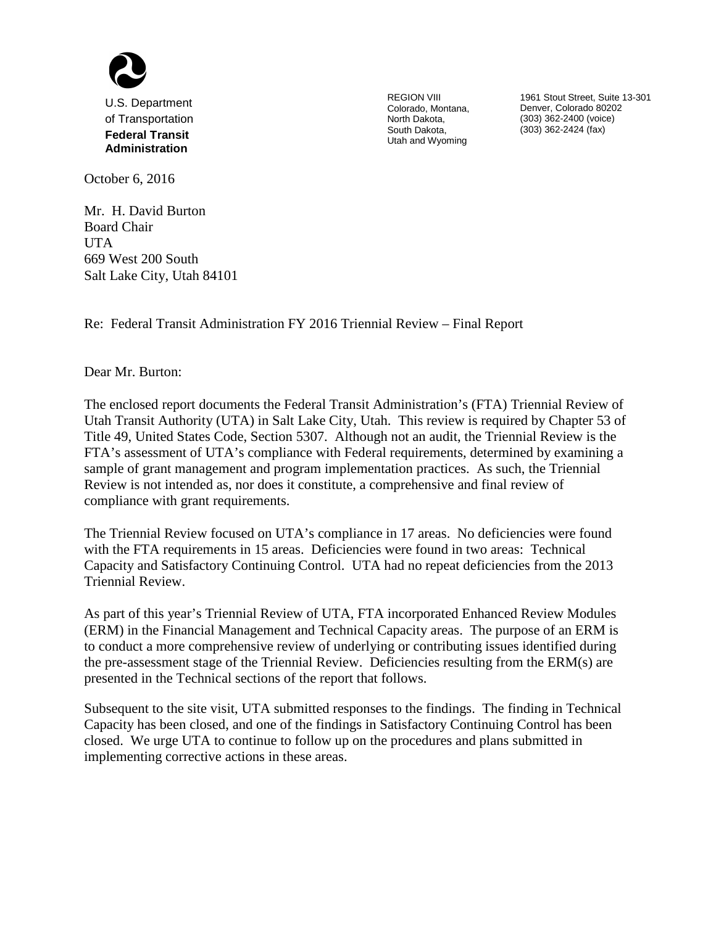

U.S. Department of Transportation **Federal Transit Administration**

REGION VIII Colorado, Montana, North Dakota, South Dakota, Utah and Wyoming

1961 Stout Street, Suite 13-301 Denver, Colorado 80202 (303) 362-2400 (voice) (303) 362-2424 (fax)

October 6, 2016

Mr. H. David Burton Board Chair **UTA** 669 West 200 South Salt Lake City, Utah 84101

Re: Federal Transit Administration FY 2016 Triennial Review – Final Report

Dear Mr. Burton:

The enclosed report documents the Federal Transit Administration's (FTA) Triennial Review of Utah Transit Authority (UTA) in Salt Lake City, Utah. This review is required by Chapter 53 of Title 49, United States Code, Section 5307. Although not an audit, the Triennial Review is the FTA's assessment of UTA's compliance with Federal requirements, determined by examining a sample of grant management and program implementation practices. As such, the Triennial Review is not intended as, nor does it constitute, a comprehensive and final review of compliance with grant requirements.

The Triennial Review focused on UTA's compliance in 17 areas. No deficiencies were found with the FTA requirements in 15 areas. Deficiencies were found in two areas: Technical Capacity and Satisfactory Continuing Control. UTA had no repeat deficiencies from the 2013 Triennial Review.

As part of this year's Triennial Review of UTA, FTA incorporated Enhanced Review Modules (ERM) in the Financial Management and Technical Capacity areas. The purpose of an ERM is to conduct a more comprehensive review of underlying or contributing issues identified during the pre-assessment stage of the Triennial Review. Deficiencies resulting from the ERM(s) are presented in the Technical sections of the report that follows.

Subsequent to the site visit, UTA submitted responses to the findings. The finding in Technical Capacity has been closed, and one of the findings in Satisfactory Continuing Control has been closed. We urge UTA to continue to follow up on the procedures and plans submitted in implementing corrective actions in these areas.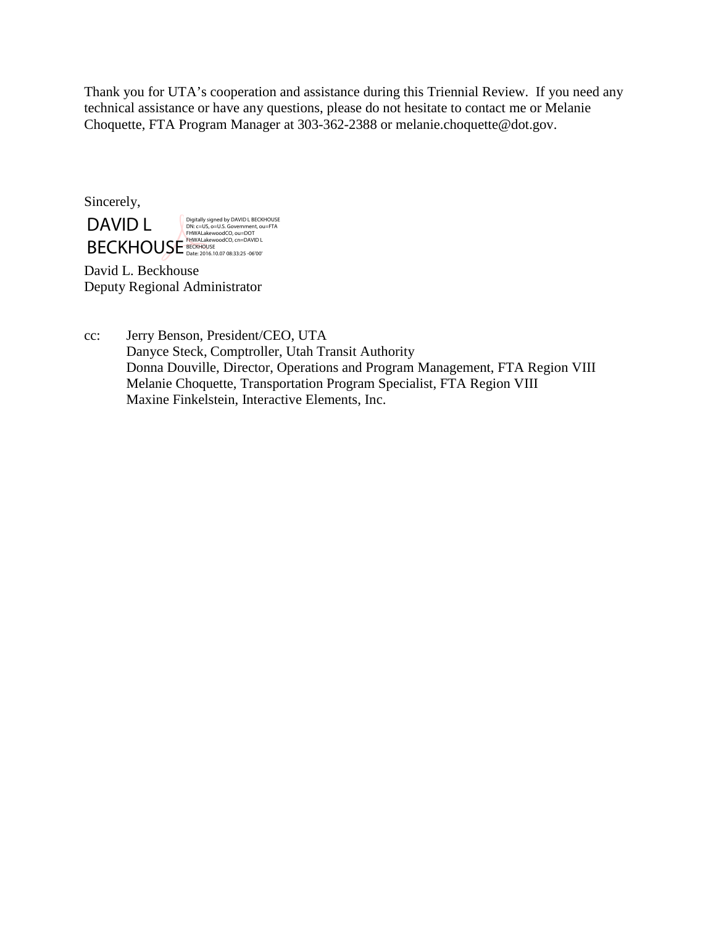Thank you for UTA's cooperation and assistance during this Triennial Review. If you need any technical assistance or have any questions, please do not hesitate to contact me or Melanie Choquette, FTA Program Manager at 303-362-2388 or melanie.choquette@dot.gov.

Sincerely,

DAVID L **BECKHOUSE** BECKHOUSE DAVID LAND LONG THE DAVID LAND LONG THE DAVID LAND LONG THE DAVID LONG THE DAVID LONG THE DAVID LONG THE DAVID LONG THE DAVID LONG THE DAVID LONG THE DAVID LONG THE DAVID LONG THE DAVID LONG THE DAVID Digitally signed by DAVID L BECKHOUSE DN: c=US, o=U.S. Government, ou=FTA FHWALakewoodCO, ou=DOT FHWALakewoodCO, cn=DAVID L

David L. Beckhouse Deputy Regional Administrator

cc: Jerry Benson, President/CEO, UTA Danyce Steck, Comptroller, Utah Transit Authority Donna Douville, Director, Operations and Program Management, FTA Region VIII Melanie Choquette, Transportation Program Specialist, FTA Region VIII Maxine Finkelstein, Interactive Elements, Inc.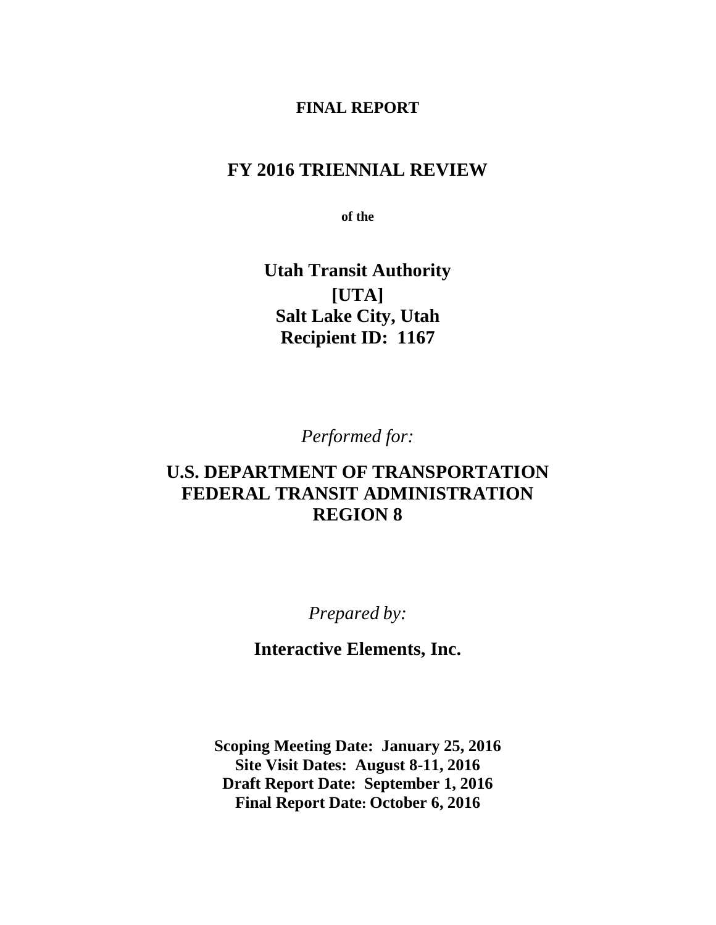#### **FINAL REPORT**

## **FY 2016 TRIENNIAL REVIEW**

**of the**

**Utah Transit Authority [UTA] Salt Lake City, Utah Recipient ID: 1167**

*Performed for:*

## **U.S. DEPARTMENT OF TRANSPORTATION FEDERAL TRANSIT ADMINISTRATION REGION 8**

*Prepared by:*

**Interactive Elements, Inc.**

**Scoping Meeting Date: January 25, 2016 Site Visit Dates: August 8-11, 2016 Draft Report Date: September 1, 2016 Final Report Date: October 6, 2016**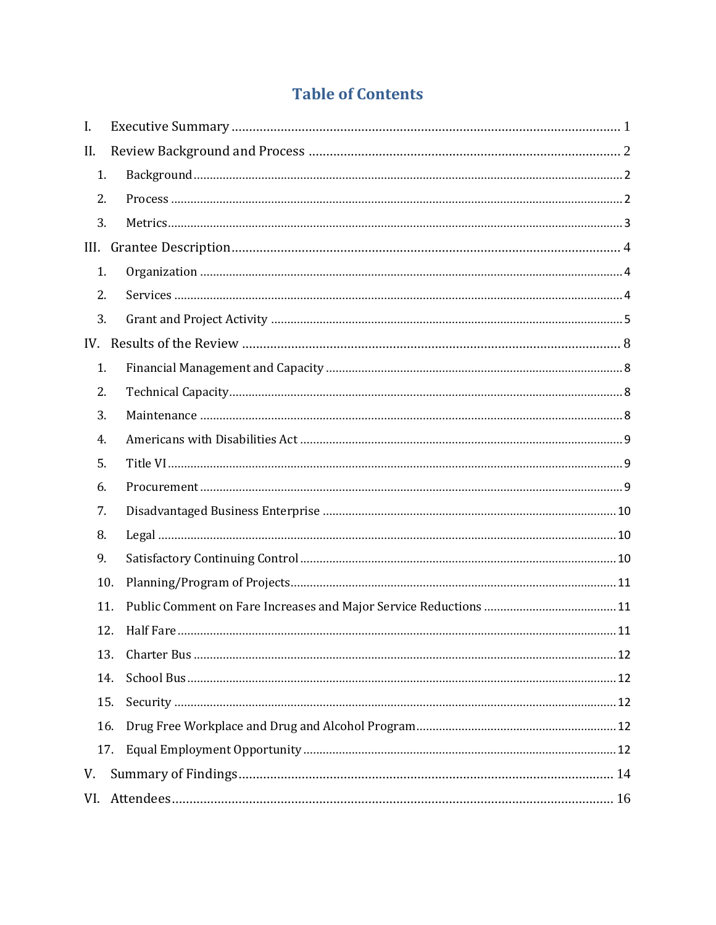# **Table of Contents**

| I.  |     |
|-----|-----|
| II. |     |
| 1.  |     |
| 2.  |     |
| 3.  |     |
|     |     |
| 1.  |     |
| 2.  |     |
| 3.  |     |
|     |     |
| 1.  |     |
| 2.  |     |
| 3.  |     |
| 4.  |     |
| 5.  |     |
| 6.  |     |
| 7.  |     |
| 8.  |     |
| 9.  |     |
| 10. |     |
| 11. |     |
|     | 12. |
| 13. |     |
| 14. |     |
| 15. |     |
| 16. |     |
|     | 17. |
| V.  |     |
| VI. |     |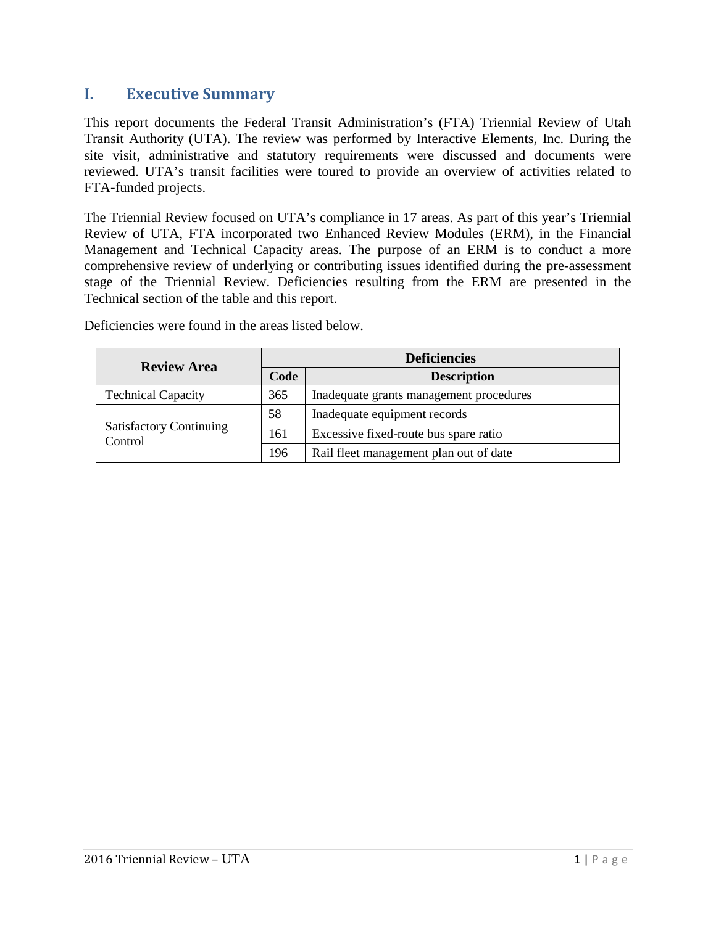## <span id="page-4-0"></span>**I. Executive Summary**

This report documents the Federal Transit Administration's (FTA) Triennial Review of Utah Transit Authority (UTA). The review was performed by Interactive Elements, Inc. During the site visit, administrative and statutory requirements were discussed and documents were reviewed. UTA's transit facilities were toured to provide an overview of activities related to FTA-funded projects.

The Triennial Review focused on UTA's compliance in 17 areas. As part of this year's Triennial Review of UTA, FTA incorporated two Enhanced Review Modules (ERM), in the Financial Management and Technical Capacity areas. The purpose of an ERM is to conduct a more comprehensive review of underlying or contributing issues identified during the pre-assessment stage of the Triennial Review. Deficiencies resulting from the ERM are presented in the Technical section of the table and this report.

| <b>Review Area</b>                        |      | <b>Deficiencies</b>                     |  |
|-------------------------------------------|------|-----------------------------------------|--|
|                                           | Code | <b>Description</b>                      |  |
| <b>Technical Capacity</b>                 | 365  | Inadequate grants management procedures |  |
|                                           | 58   | Inadequate equipment records            |  |
| <b>Satisfactory Continuing</b><br>Control | 161  | Excessive fixed-route bus spare ratio   |  |
|                                           | 196  | Rail fleet management plan out of date  |  |

Deficiencies were found in the areas listed below.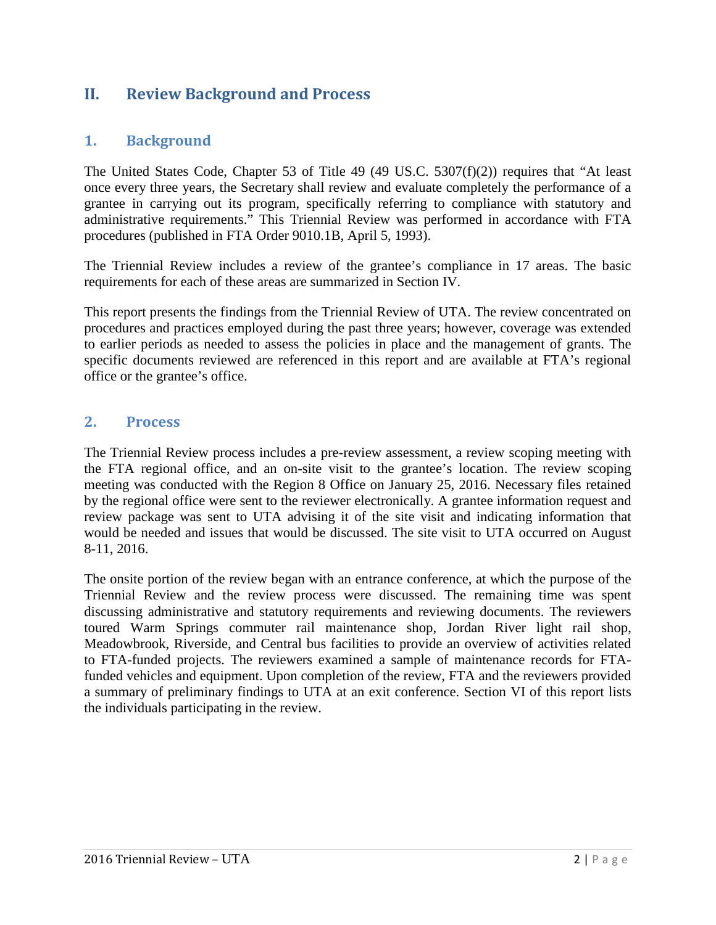## <span id="page-5-0"></span>**II. Review Background and Process**

#### <span id="page-5-1"></span>**1. Background**

The United States Code, Chapter 53 of Title 49 (49 US.C. 5307(f)(2)) requires that "At least once every three years, the Secretary shall review and evaluate completely the performance of a grantee in carrying out its program, specifically referring to compliance with statutory and administrative requirements." This Triennial Review was performed in accordance with FTA procedures (published in FTA Order 9010.1B, April 5, 1993).

The Triennial Review includes a review of the grantee's compliance in 17 areas. The basic requirements for each of these areas are summarized in Section IV.

This report presents the findings from the Triennial Review of UTA. The review concentrated on procedures and practices employed during the past three years; however, coverage was extended to earlier periods as needed to assess the policies in place and the management of grants. The specific documents reviewed are referenced in this report and are available at FTA's regional office or the grantee's office.

#### <span id="page-5-2"></span>**2. Process**

The Triennial Review process includes a pre-review assessment, a review scoping meeting with the FTA regional office, and an on-site visit to the grantee's location. The review scoping meeting was conducted with the Region 8 Office on January 25, 2016. Necessary files retained by the regional office were sent to the reviewer electronically. A grantee information request and review package was sent to UTA advising it of the site visit and indicating information that would be needed and issues that would be discussed. The site visit to UTA occurred on August 8-11, 2016.

The onsite portion of the review began with an entrance conference, at which the purpose of the Triennial Review and the review process were discussed. The remaining time was spent discussing administrative and statutory requirements and reviewing documents. The reviewers toured Warm Springs commuter rail maintenance shop, Jordan River light rail shop, Meadowbrook, Riverside, and Central bus facilities to provide an overview of activities related to FTA-funded projects. The reviewers examined a sample of maintenance records for FTAfunded vehicles and equipment. Upon completion of the review, FTA and the reviewers provided a summary of preliminary findings to UTA at an exit conference. Section VI of this report lists the individuals participating in the review.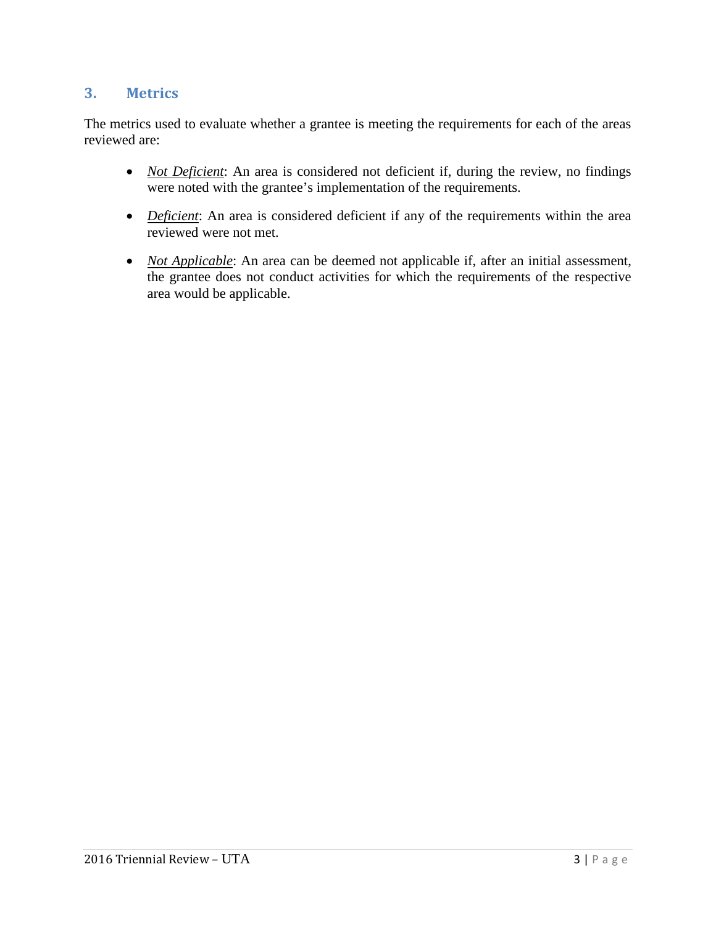#### <span id="page-6-0"></span>**3. Metrics**

The metrics used to evaluate whether a grantee is meeting the requirements for each of the areas reviewed are:

- *Not Deficient*: An area is considered not deficient if, during the review, no findings were noted with the grantee's implementation of the requirements.
- *Deficient*: An area is considered deficient if any of the requirements within the area reviewed were not met.
- *Not Applicable*: An area can be deemed not applicable if, after an initial assessment, the grantee does not conduct activities for which the requirements of the respective area would be applicable.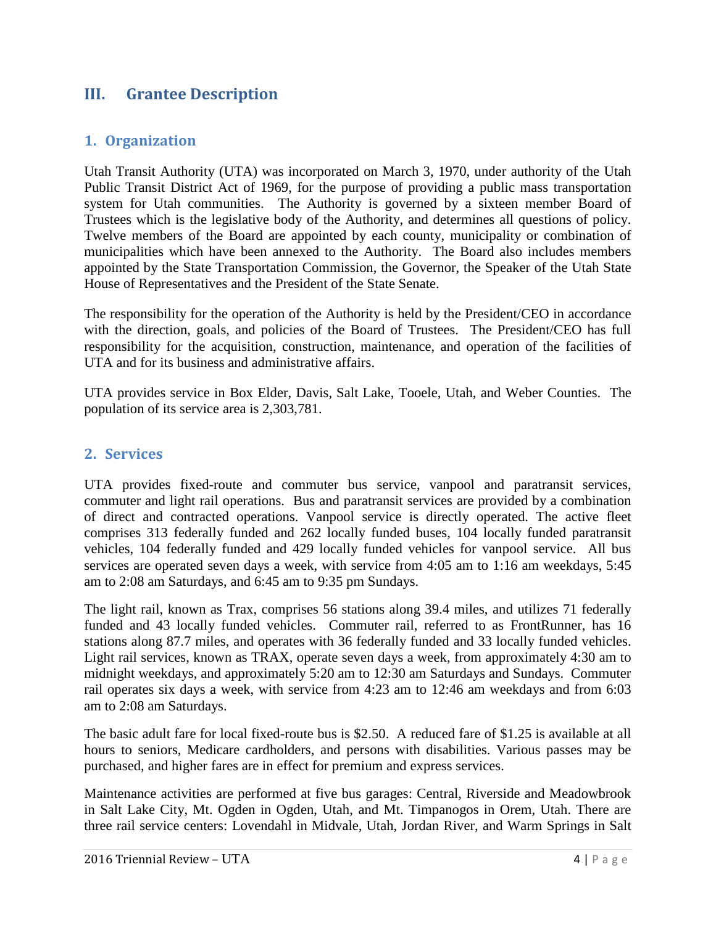## <span id="page-7-0"></span>**III. Grantee Description**

#### <span id="page-7-1"></span>**1. Organization**

Utah Transit Authority (UTA) was incorporated on March 3, 1970, under authority of the Utah Public Transit District Act of 1969, for the purpose of providing a public mass transportation system for Utah communities. The Authority is governed by a sixteen member Board of Trustees which is the legislative body of the Authority, and determines all questions of policy. Twelve members of the Board are appointed by each county, municipality or combination of municipalities which have been annexed to the Authority. The Board also includes members appointed by the State Transportation Commission, the Governor, the Speaker of the Utah State House of Representatives and the President of the State Senate.

The responsibility for the operation of the Authority is held by the President/CEO in accordance with the direction, goals, and policies of the Board of Trustees. The President/CEO has full responsibility for the acquisition, construction, maintenance, and operation of the facilities of UTA and for its business and administrative affairs.

UTA provides service in Box Elder, Davis, Salt Lake, Tooele, Utah, and Weber Counties. The population of its service area is 2,303,781.

#### <span id="page-7-2"></span>**2. Services**

UTA provides fixed-route and commuter bus service, vanpool and paratransit services, commuter and light rail operations. Bus and paratransit services are provided by a combination of direct and contracted operations. Vanpool service is directly operated. The active fleet comprises 313 federally funded and 262 locally funded buses, 104 locally funded paratransit vehicles, 104 federally funded and 429 locally funded vehicles for vanpool service. All bus services are operated seven days a week, with service from 4:05 am to 1:16 am weekdays, 5:45 am to 2:08 am Saturdays, and 6:45 am to 9:35 pm Sundays.

The light rail, known as Trax, comprises 56 stations along 39.4 miles, and utilizes 71 federally funded and 43 locally funded vehicles. Commuter rail, referred to as FrontRunner, has 16 stations along 87.7 miles, and operates with 36 federally funded and 33 locally funded vehicles. Light rail services, known as TRAX, operate seven days a week, from approximately 4:30 am to midnight weekdays, and approximately 5:20 am to 12:30 am Saturdays and Sundays. Commuter rail operates six days a week, with service from 4:23 am to 12:46 am weekdays and from 6:03 am to 2:08 am Saturdays.

The basic adult fare for local fixed-route bus is \$2.50. A reduced fare of \$1.25 is available at all hours to seniors, Medicare cardholders, and persons with disabilities. Various passes may be purchased, and higher fares are in effect for premium and express services.

Maintenance activities are performed at five bus garages: Central, Riverside and Meadowbrook in Salt Lake City, Mt. Ogden in Ogden, Utah, and Mt. Timpanogos in Orem, Utah. There are three rail service centers: Lovendahl in Midvale, Utah, Jordan River, and Warm Springs in Salt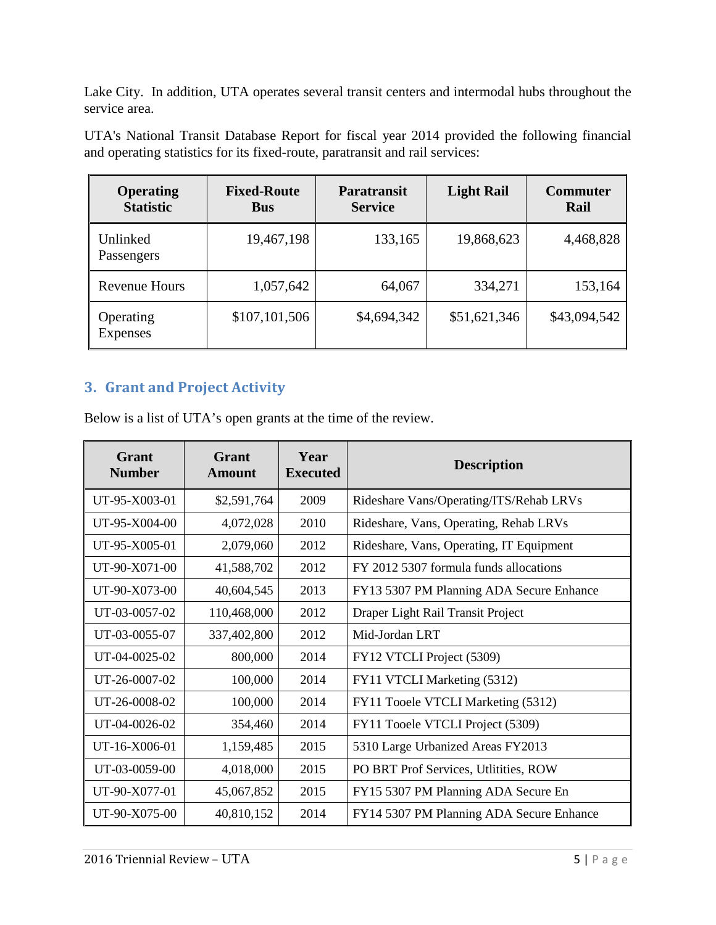Lake City. In addition, UTA operates several transit centers and intermodal hubs throughout the service area.

| <b>Operating</b><br><b>Statistic</b> | <b>Fixed-Route</b><br><b>Bus</b> | <b>Paratransit</b><br><b>Service</b> | <b>Light Rail</b> | <b>Commuter</b><br>Rail |
|--------------------------------------|----------------------------------|--------------------------------------|-------------------|-------------------------|
| Unlinked<br>Passengers               | 19,467,198                       | 133,165                              | 19,868,623        | 4,468,828               |
| <b>Revenue Hours</b>                 | 1,057,642                        | 64,067                               | 334,271           | 153,164                 |
| Operating<br>Expenses                | \$107,101,506                    | \$4,694,342                          | \$51,621,346      | \$43,094,542            |

UTA's National Transit Database Report for fiscal year 2014 provided the following financial and operating statistics for its fixed-route, paratransit and rail services:

## <span id="page-8-0"></span>**3. Grant and Project Activity**

Below is a list of UTA's open grants at the time of the review.

| Grant<br><b>Number</b> | Grant<br><b>Amount</b> | Year<br><b>Executed</b> | <b>Description</b>                       |
|------------------------|------------------------|-------------------------|------------------------------------------|
| UT-95-X003-01          | \$2,591,764            | 2009                    | Rideshare Vans/Operating/ITS/Rehab LRVs  |
| UT-95-X004-00          | 4,072,028              | 2010                    | Rideshare, Vans, Operating, Rehab LRVs   |
| UT-95-X005-01          | 2,079,060              | 2012                    | Rideshare, Vans, Operating, IT Equipment |
| UT-90-X071-00          | 41,588,702             | 2012                    | FY 2012 5307 formula funds allocations   |
| UT-90-X073-00          | 40,604,545             | 2013                    | FY13 5307 PM Planning ADA Secure Enhance |
| UT-03-0057-02          | 110,468,000            | 2012                    | Draper Light Rail Transit Project        |
| UT-03-0055-07          | 337,402,800            | 2012                    | Mid-Jordan LRT                           |
| UT-04-0025-02          | 800,000                | 2014                    | FY12 VTCLI Project (5309)                |
| UT-26-0007-02          | 100,000                | 2014                    | FY11 VTCLI Marketing (5312)              |
| UT-26-0008-02          | 100,000                | 2014                    | FY11 Tooele VTCLI Marketing (5312)       |
| UT-04-0026-02          | 354,460                | 2014                    | FY11 Tooele VTCLI Project (5309)         |
| UT-16-X006-01          | 1,159,485              | 2015                    | 5310 Large Urbanized Areas FY2013        |
| UT-03-0059-00          | 4,018,000              | 2015                    | PO BRT Prof Services, Utlitities, ROW    |
| UT-90-X077-01          | 45,067,852             | 2015                    | FY15 5307 PM Planning ADA Secure En      |
| UT-90-X075-00          | 40,810,152             | 2014                    | FY14 5307 PM Planning ADA Secure Enhance |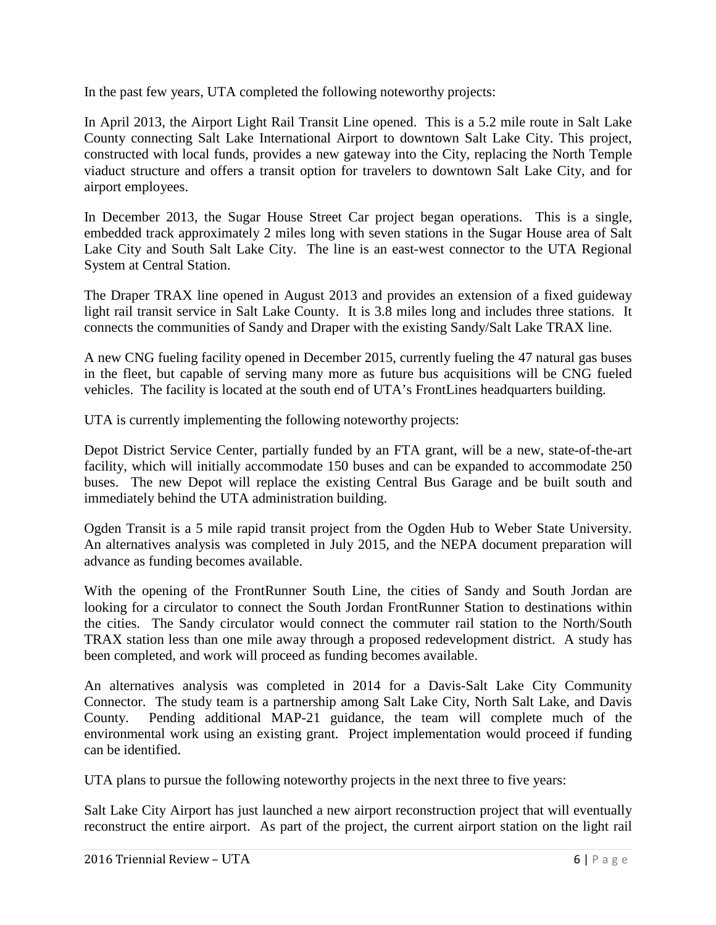In the past few years, UTA completed the following noteworthy projects:

In April 2013, the Airport Light Rail Transit Line opened. This is a 5.2 mile route in Salt Lake County connecting Salt Lake International Airport to downtown Salt Lake City. This project, constructed with local funds, provides a new gateway into the City, replacing the North Temple viaduct structure and offers a transit option for travelers to downtown Salt Lake City, and for airport employees.

In December 2013, the Sugar House Street Car project began operations. This is a single, embedded track approximately 2 miles long with seven stations in the Sugar House area of Salt Lake City and South Salt Lake City. The line is an east-west connector to the UTA Regional System at Central Station.

The Draper TRAX line opened in August 2013 and provides an extension of a fixed guideway light rail transit service in Salt Lake County. It is 3.8 miles long and includes three stations. It connects the communities of Sandy and Draper with the existing Sandy/Salt Lake TRAX line.

A new CNG fueling facility opened in December 2015, currently fueling the 47 natural gas buses in the fleet, but capable of serving many more as future bus acquisitions will be CNG fueled vehicles. The facility is located at the south end of UTA's FrontLines headquarters building.

UTA is currently implementing the following noteworthy projects:

Depot District Service Center, partially funded by an FTA grant, will be a new, state-of-the-art facility, which will initially accommodate 150 buses and can be expanded to accommodate 250 buses. The new Depot will replace the existing Central Bus Garage and be built south and immediately behind the UTA administration building.

Ogden Transit is a 5 mile rapid transit project from the Ogden Hub to Weber State University. An alternatives analysis was completed in July 2015, and the NEPA document preparation will advance as funding becomes available.

With the opening of the FrontRunner South Line, the cities of Sandy and South Jordan are looking for a circulator to connect the South Jordan FrontRunner Station to destinations within the cities. The Sandy circulator would connect the commuter rail station to the North/South TRAX station less than one mile away through a proposed redevelopment district. A study has been completed, and work will proceed as funding becomes available.

An alternatives analysis was completed in 2014 for a Davis-Salt Lake City Community Connector. The study team is a partnership among Salt Lake City, North Salt Lake, and Davis County. Pending additional MAP-21 guidance, the team will complete much of the environmental work using an existing grant. Project implementation would proceed if funding can be identified.

UTA plans to pursue the following noteworthy projects in the next three to five years:

Salt Lake City Airport has just launched a new airport reconstruction project that will eventually reconstruct the entire airport. As part of the project, the current airport station on the light rail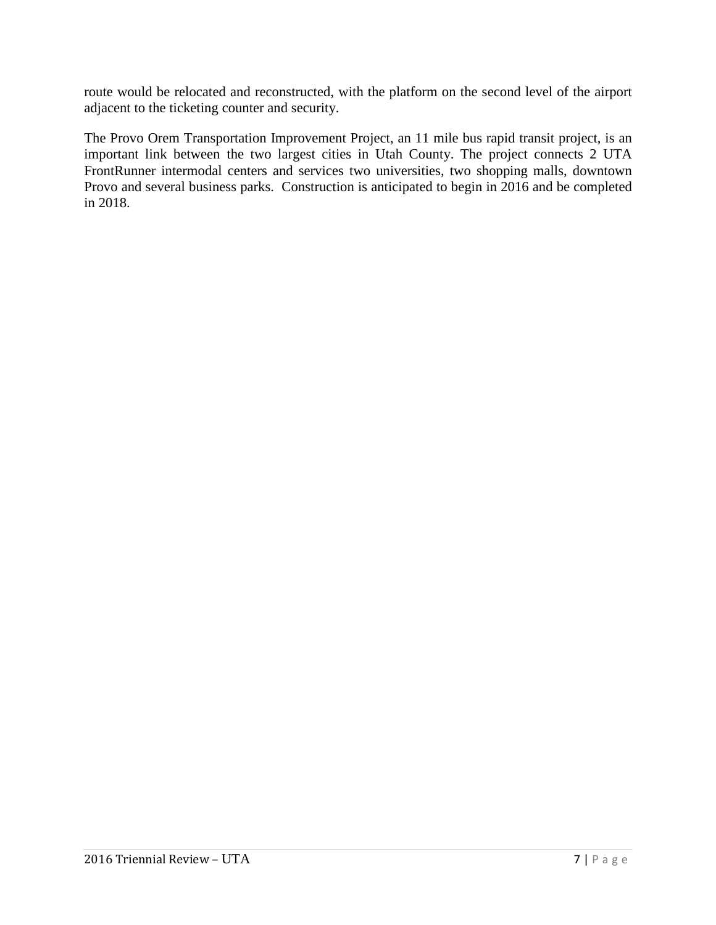route would be relocated and reconstructed, with the platform on the second level of the airport adjacent to the ticketing counter and security.

The Provo Orem Transportation Improvement Project, an 11 mile bus rapid transit project, is an important link between the two largest cities in Utah County. The project connects 2 UTA FrontRunner intermodal centers and services two universities, two shopping malls, downtown Provo and several business parks. Construction is anticipated to begin in 2016 and be completed in 2018.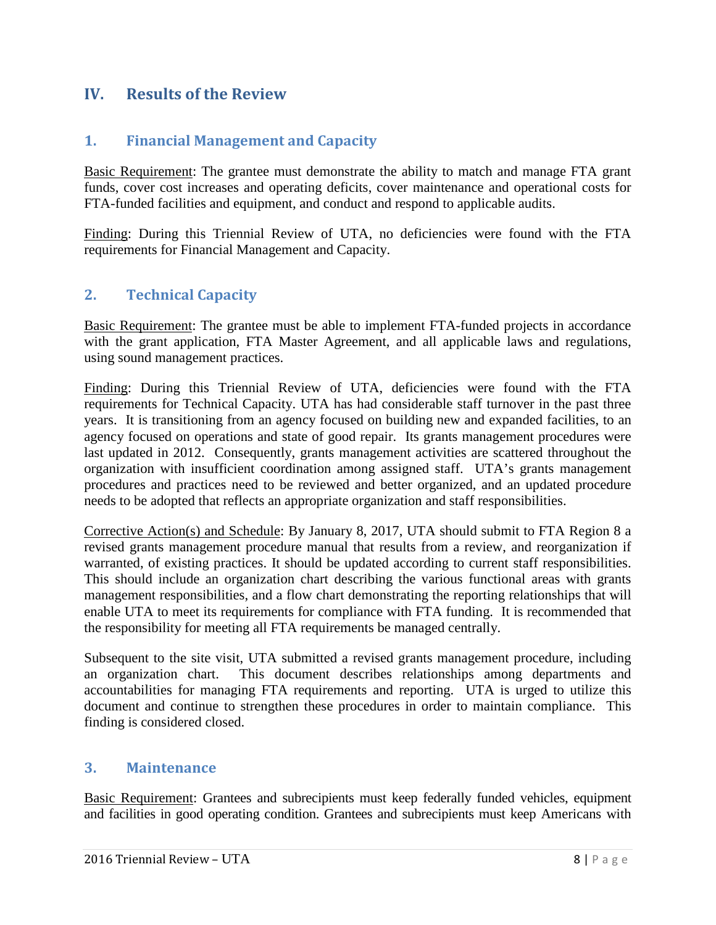## <span id="page-11-1"></span><span id="page-11-0"></span>**IV. Results of the Review**

#### **1. Financial Management and Capacity**

Basic Requirement: The grantee must demonstrate the ability to match and manage FTA grant funds, cover cost increases and operating deficits, cover maintenance and operational costs for FTA-funded facilities and equipment, and conduct and respond to applicable audits.

Finding: During this Triennial Review of UTA, no deficiencies were found with the FTA requirements for Financial Management and Capacity.

#### <span id="page-11-2"></span>**2. Technical Capacity**

Basic Requirement: The grantee must be able to implement FTA-funded projects in accordance with the grant application, FTA Master Agreement, and all applicable laws and regulations, using sound management practices.

Finding: During this Triennial Review of UTA, deficiencies were found with the FTA requirements for Technical Capacity. UTA has had considerable staff turnover in the past three years. It is transitioning from an agency focused on building new and expanded facilities, to an agency focused on operations and state of good repair. Its grants management procedures were last updated in 2012. Consequently, grants management activities are scattered throughout the organization with insufficient coordination among assigned staff. UTA's grants management procedures and practices need to be reviewed and better organized, and an updated procedure needs to be adopted that reflects an appropriate organization and staff responsibilities.

Corrective Action(s) and Schedule: By January 8, 2017, UTA should submit to FTA Region 8 a revised grants management procedure manual that results from a review, and reorganization if warranted, of existing practices. It should be updated according to current staff responsibilities. This should include an organization chart describing the various functional areas with grants management responsibilities, and a flow chart demonstrating the reporting relationships that will enable UTA to meet its requirements for compliance with FTA funding. It is recommended that the responsibility for meeting all FTA requirements be managed centrally.

Subsequent to the site visit, UTA submitted a revised grants management procedure, including an organization chart. This document describes relationships among departments and accountabilities for managing FTA requirements and reporting. UTA is urged to utilize this document and continue to strengthen these procedures in order to maintain compliance. This finding is considered closed.

#### <span id="page-11-3"></span>**3. Maintenance**

Basic Requirement: Grantees and subrecipients must keep federally funded vehicles, equipment and facilities in good operating condition. Grantees and subrecipients must keep Americans with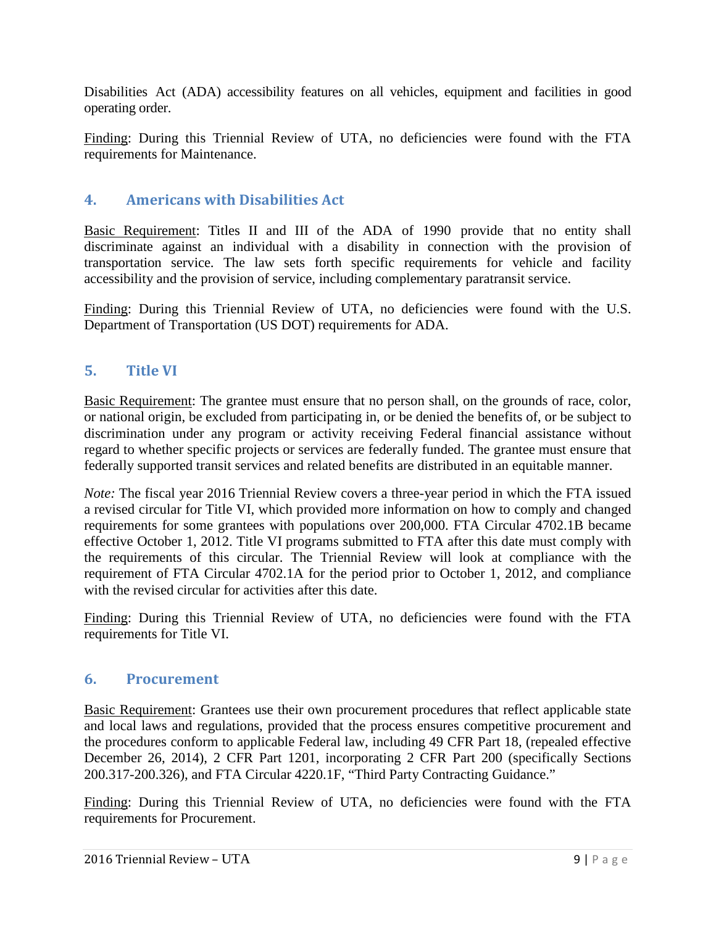Disabilities Act (ADA) accessibility features on all vehicles, equipment and facilities in good operating order.

Finding: During this Triennial Review of UTA, no deficiencies were found with the FTA requirements for Maintenance.

#### <span id="page-12-0"></span>**4. Americans with Disabilities Act**

Basic Requirement: Titles II and III of the ADA of 1990 provide that no entity shall discriminate against an individual with a disability in connection with the provision of transportation service. The law sets forth specific requirements for vehicle and facility accessibility and the provision of service, including complementary paratransit service.

Finding: During this Triennial Review of UTA, no deficiencies were found with the U.S. Department of Transportation (US DOT) requirements for ADA.

#### <span id="page-12-1"></span>**5. Title VI**

Basic Requirement: The grantee must ensure that no person shall, on the grounds of race, color, or national origin, be excluded from participating in, or be denied the benefits of, or be subject to discrimination under any program or activity receiving Federal financial assistance without regard to whether specific projects or services are federally funded. The grantee must ensure that federally supported transit services and related benefits are distributed in an equitable manner.

*Note:* The fiscal year 2016 Triennial Review covers a three-year period in which the FTA issued a revised circular for Title VI, which provided more information on how to comply and changed requirements for some grantees with populations over 200,000. FTA Circular 4702.1B became effective October 1, 2012. Title VI programs submitted to FTA after this date must comply with the requirements of this circular. The Triennial Review will look at compliance with the requirement of FTA Circular 4702.1A for the period prior to October 1, 2012, and compliance with the revised circular for activities after this date.

Finding: During this Triennial Review of UTA, no deficiencies were found with the FTA requirements for Title VI.

#### <span id="page-12-2"></span>**6. Procurement**

Basic Requirement: Grantees use their own procurement procedures that reflect applicable state and local laws and regulations, provided that the process ensures competitive procurement and the procedures conform to applicable Federal law, including 49 CFR Part 18, (repealed effective December 26, 2014), 2 CFR Part 1201, incorporating 2 CFR Part 200 (specifically Sections 200.317-200.326), and FTA Circular 4220.1F, "Third Party Contracting Guidance."

Finding: During this Triennial Review of UTA, no deficiencies were found with the FTA requirements for Procurement.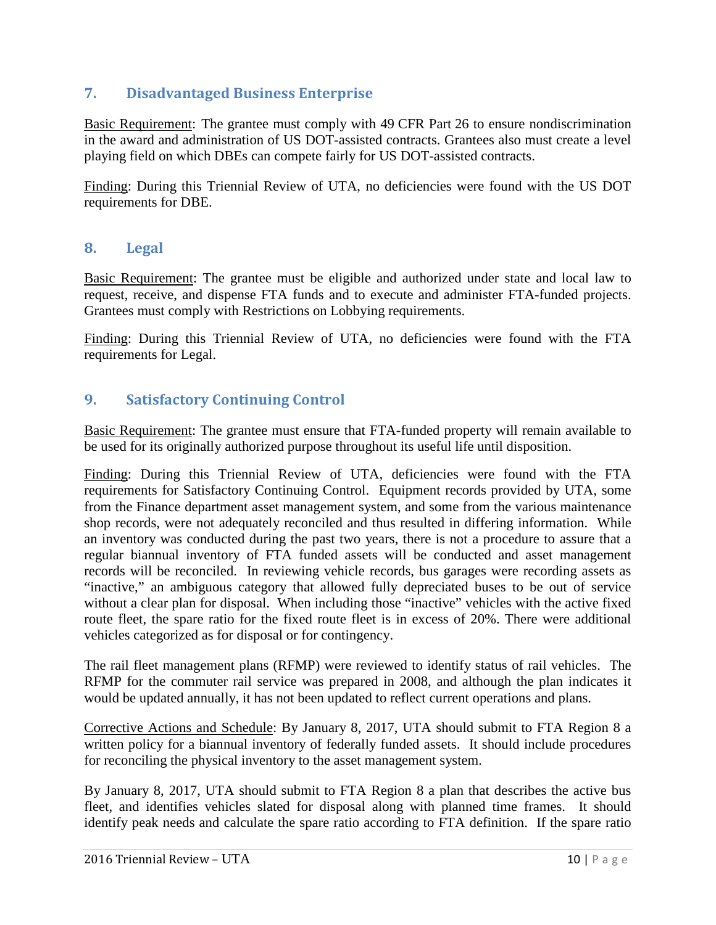### <span id="page-13-0"></span>**7. Disadvantaged Business Enterprise**

Basic Requirement: The grantee must comply with 49 CFR Part 26 to ensure nondiscrimination in the award and administration of US DOT-assisted contracts. Grantees also must create a level playing field on which DBEs can compete fairly for US DOT-assisted contracts.

Finding: During this Triennial Review of UTA, no deficiencies were found with the US DOT requirements for DBE.

#### <span id="page-13-1"></span>**8. Legal**

Basic Requirement: The grantee must be eligible and authorized under state and local law to request, receive, and dispense FTA funds and to execute and administer FTA-funded projects. Grantees must comply with Restrictions on Lobbying requirements.

Finding: During this Triennial Review of UTA, no deficiencies were found with the FTA requirements for Legal.

#### <span id="page-13-2"></span>**9. Satisfactory Continuing Control**

Basic Requirement: The grantee must ensure that FTA-funded property will remain available to be used for its originally authorized purpose throughout its useful life until disposition.

Finding: During this Triennial Review of UTA, deficiencies were found with the FTA requirements for Satisfactory Continuing Control. Equipment records provided by UTA, some from the Finance department asset management system, and some from the various maintenance shop records, were not adequately reconciled and thus resulted in differing information. While an inventory was conducted during the past two years, there is not a procedure to assure that a regular biannual inventory of FTA funded assets will be conducted and asset management records will be reconciled. In reviewing vehicle records, bus garages were recording assets as "inactive," an ambiguous category that allowed fully depreciated buses to be out of service without a clear plan for disposal. When including those "inactive" vehicles with the active fixed route fleet, the spare ratio for the fixed route fleet is in excess of 20%. There were additional vehicles categorized as for disposal or for contingency.

The rail fleet management plans (RFMP) were reviewed to identify status of rail vehicles. The RFMP for the commuter rail service was prepared in 2008, and although the plan indicates it would be updated annually, it has not been updated to reflect current operations and plans.

Corrective Actions and Schedule: By January 8, 2017, UTA should submit to FTA Region 8 a written policy for a biannual inventory of federally funded assets. It should include procedures for reconciling the physical inventory to the asset management system.

By January 8, 2017, UTA should submit to FTA Region 8 a plan that describes the active bus fleet, and identifies vehicles slated for disposal along with planned time frames. It should identify peak needs and calculate the spare ratio according to FTA definition. If the spare ratio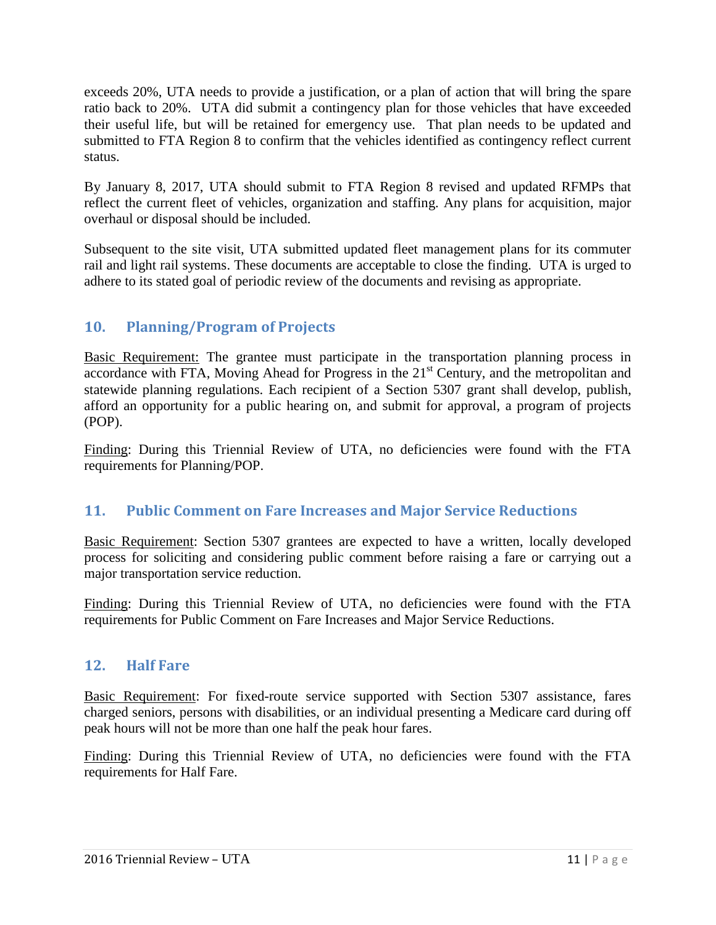exceeds 20%, UTA needs to provide a justification, or a plan of action that will bring the spare ratio back to 20%. UTA did submit a contingency plan for those vehicles that have exceeded their useful life, but will be retained for emergency use. That plan needs to be updated and submitted to FTA Region 8 to confirm that the vehicles identified as contingency reflect current status.

By January 8, 2017, UTA should submit to FTA Region 8 revised and updated RFMPs that reflect the current fleet of vehicles, organization and staffing. Any plans for acquisition, major overhaul or disposal should be included.

Subsequent to the site visit, UTA submitted updated fleet management plans for its commuter rail and light rail systems. These documents are acceptable to close the finding. UTA is urged to adhere to its stated goal of periodic review of the documents and revising as appropriate.

## <span id="page-14-0"></span>**10. Planning/Program of Projects**

Basic Requirement: The grantee must participate in the transportation planning process in accordance with FTA, Moving Ahead for Progress in the  $21<sup>st</sup>$  Century, and the metropolitan and statewide planning regulations. Each recipient of a Section 5307 grant shall develop, publish, afford an opportunity for a public hearing on, and submit for approval, a program of projects (POP).

Finding: During this Triennial Review of UTA, no deficiencies were found with the FTA requirements for Planning/POP.

## <span id="page-14-1"></span>**11. Public Comment on Fare Increases and Major Service Reductions**

Basic Requirement: Section 5307 grantees are expected to have a written, locally developed process for soliciting and considering public comment before raising a fare or carrying out a major transportation service reduction.

Finding: During this Triennial Review of UTA, no deficiencies were found with the FTA requirements for Public Comment on Fare Increases and Major Service Reductions.

#### <span id="page-14-2"></span>**12. Half Fare**

Basic Requirement: For fixed-route service supported with Section 5307 assistance, fares charged seniors, persons with disabilities, or an individual presenting a Medicare card during off peak hours will not be more than one half the peak hour fares.

Finding: During this Triennial Review of UTA, no deficiencies were found with the FTA requirements for Half Fare.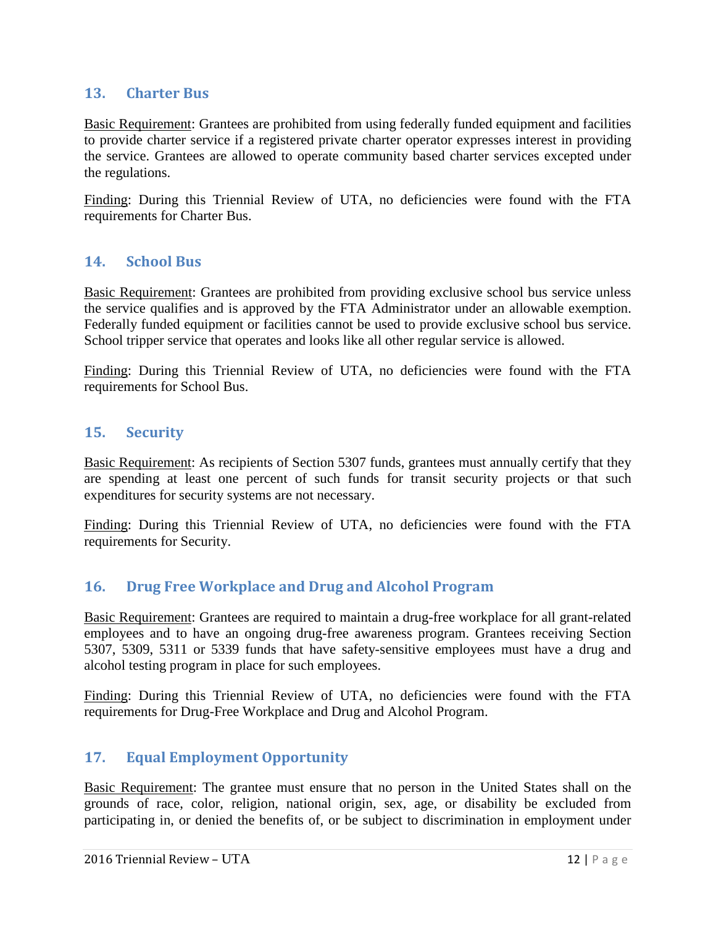#### <span id="page-15-0"></span>**13. Charter Bus**

Basic Requirement: Grantees are prohibited from using federally funded equipment and facilities to provide charter service if a registered private charter operator expresses interest in providing the service. Grantees are allowed to operate community based charter services excepted under the regulations.

Finding: During this Triennial Review of UTA, no deficiencies were found with the FTA requirements for Charter Bus.

#### <span id="page-15-1"></span>**14. School Bus**

Basic Requirement: Grantees are prohibited from providing exclusive school bus service unless the service qualifies and is approved by the FTA Administrator under an allowable exemption. Federally funded equipment or facilities cannot be used to provide exclusive school bus service. School tripper service that operates and looks like all other regular service is allowed.

Finding: During this Triennial Review of UTA, no deficiencies were found with the FTA requirements for School Bus.

#### <span id="page-15-2"></span>**15. Security**

Basic Requirement: As recipients of Section 5307 funds, grantees must annually certify that they are spending at least one percent of such funds for transit security projects or that such expenditures for security systems are not necessary.

Finding: During this Triennial Review of UTA, no deficiencies were found with the FTA requirements for Security.

#### <span id="page-15-3"></span>**16. Drug Free Workplace and Drug and Alcohol Program**

Basic Requirement: Grantees are required to maintain a drug-free workplace for all grant-related employees and to have an ongoing drug-free awareness program. Grantees receiving Section 5307, 5309, 5311 or 5339 funds that have safety-sensitive employees must have a drug and alcohol testing program in place for such employees.

Finding: During this Triennial Review of UTA, no deficiencies were found with the FTA requirements for Drug-Free Workplace and Drug and Alcohol Program.

#### <span id="page-15-4"></span>**17. Equal Employment Opportunity**

Basic Requirement: The grantee must ensure that no person in the United States shall on the grounds of race, color, religion, national origin, sex, age, or disability be excluded from participating in, or denied the benefits of, or be subject to discrimination in employment under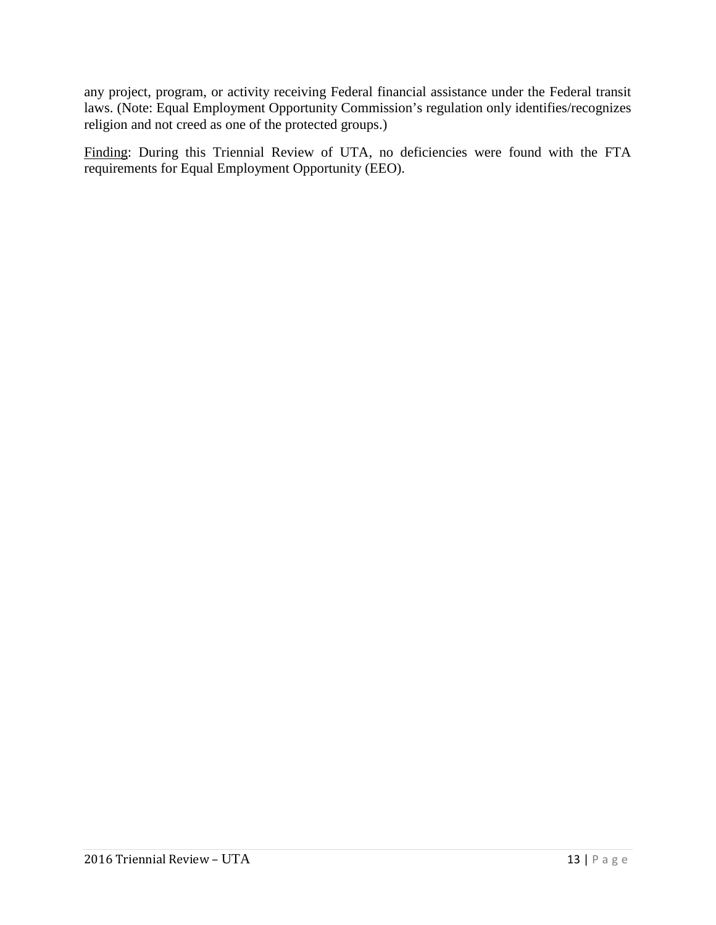any project, program, or activity receiving Federal financial assistance under the Federal transit laws. (Note: Equal Employment Opportunity Commission's regulation only identifies/recognizes religion and not creed as one of the protected groups.)

Finding: During this Triennial Review of UTA, no deficiencies were found with the FTA requirements for Equal Employment Opportunity (EEO).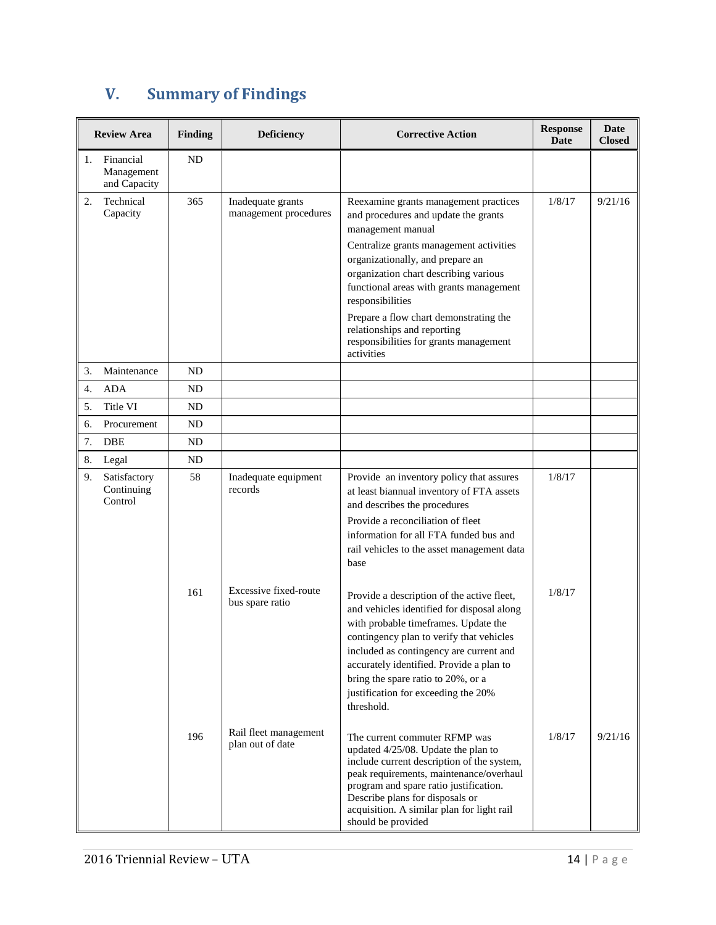# <span id="page-17-0"></span>**V. Summary of Findings**

| <b>Review Area</b> |                                         | <b>Finding</b> | <b>Deficiency</b>                          | <b>Corrective Action</b>                                                                                                                                                                                                                                                                                                                                       | <b>Response</b><br>Date | Date<br><b>Closed</b> |
|--------------------|-----------------------------------------|----------------|--------------------------------------------|----------------------------------------------------------------------------------------------------------------------------------------------------------------------------------------------------------------------------------------------------------------------------------------------------------------------------------------------------------------|-------------------------|-----------------------|
| 1.                 | Financial<br>Management<br>and Capacity | ND             |                                            |                                                                                                                                                                                                                                                                                                                                                                |                         |                       |
| 2.                 | Technical<br>Capacity                   | 365            | Inadequate grants<br>management procedures | Reexamine grants management practices<br>and procedures and update the grants<br>management manual<br>Centralize grants management activities<br>organizationally, and prepare an                                                                                                                                                                              | 1/8/17                  | 9/21/16               |
|                    |                                         |                |                                            | organization chart describing various<br>functional areas with grants management<br>responsibilities                                                                                                                                                                                                                                                           |                         |                       |
|                    |                                         |                |                                            | Prepare a flow chart demonstrating the<br>relationships and reporting<br>responsibilities for grants management<br>activities                                                                                                                                                                                                                                  |                         |                       |
| 3.                 | Maintenance                             | ND             |                                            |                                                                                                                                                                                                                                                                                                                                                                |                         |                       |
| 4.                 | <b>ADA</b>                              | ND             |                                            |                                                                                                                                                                                                                                                                                                                                                                |                         |                       |
| 5.                 | Title VI                                | ND             |                                            |                                                                                                                                                                                                                                                                                                                                                                |                         |                       |
| 6.                 | Procurement                             | ND             |                                            |                                                                                                                                                                                                                                                                                                                                                                |                         |                       |
| 7.                 | <b>DBE</b>                              | ND             |                                            |                                                                                                                                                                                                                                                                                                                                                                |                         |                       |
| 8.                 | Legal                                   | ND             |                                            |                                                                                                                                                                                                                                                                                                                                                                |                         |                       |
| 9.                 | Satisfactory<br>Continuing<br>Control   | 58             | Inadequate equipment<br>records            | Provide an inventory policy that assures<br>at least biannual inventory of FTA assets<br>and describes the procedures                                                                                                                                                                                                                                          | 1/8/17                  |                       |
|                    |                                         |                |                                            | Provide a reconciliation of fleet<br>information for all FTA funded bus and<br>rail vehicles to the asset management data<br>base                                                                                                                                                                                                                              |                         |                       |
|                    |                                         | 161            | Excessive fixed-route<br>bus spare ratio   | Provide a description of the active fleet,<br>and vehicles identified for disposal along<br>with probable timeframes. Update the<br>contingency plan to verify that vehicles<br>included as contingency are current and<br>accurately identified. Provide a plan to<br>bring the spare ratio to 20%, or a<br>justification for exceeding the 20%<br>threshold. | 1/8/17                  |                       |
|                    |                                         | 196            | Rail fleet management<br>plan out of date  | The current commuter RFMP was<br>updated 4/25/08. Update the plan to<br>include current description of the system,<br>peak requirements, maintenance/overhaul<br>program and spare ratio justification.<br>Describe plans for disposals or<br>acquisition. A similar plan for light rail<br>should be provided                                                 | 1/8/17                  | 9/21/16               |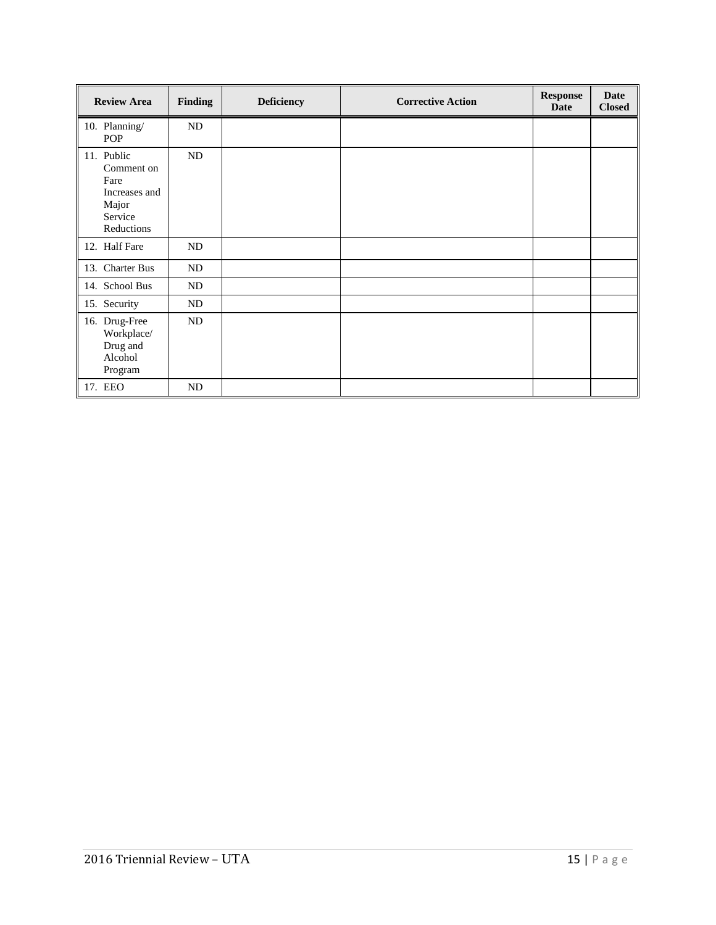| <b>Review Area</b>                                                                  | <b>Finding</b> | <b>Deficiency</b> | <b>Corrective Action</b> | <b>Response</b><br><b>Date</b> | <b>Date</b><br><b>Closed</b> |
|-------------------------------------------------------------------------------------|----------------|-------------------|--------------------------|--------------------------------|------------------------------|
| 10. Planning/<br>POP                                                                | ND             |                   |                          |                                |                              |
| 11. Public<br>Comment on<br>Fare<br>Increases and<br>Major<br>Service<br>Reductions | ND             |                   |                          |                                |                              |
| 12. Half Fare                                                                       | ND             |                   |                          |                                |                              |
| 13. Charter Bus                                                                     | ND             |                   |                          |                                |                              |
| 14. School Bus                                                                      | ND             |                   |                          |                                |                              |
| 15. Security                                                                        | ND             |                   |                          |                                |                              |
| 16. Drug-Free<br>Workplace/<br>Drug and<br>Alcohol<br>Program                       | ND             |                   |                          |                                |                              |
| 17. EEO                                                                             | ND             |                   |                          |                                |                              |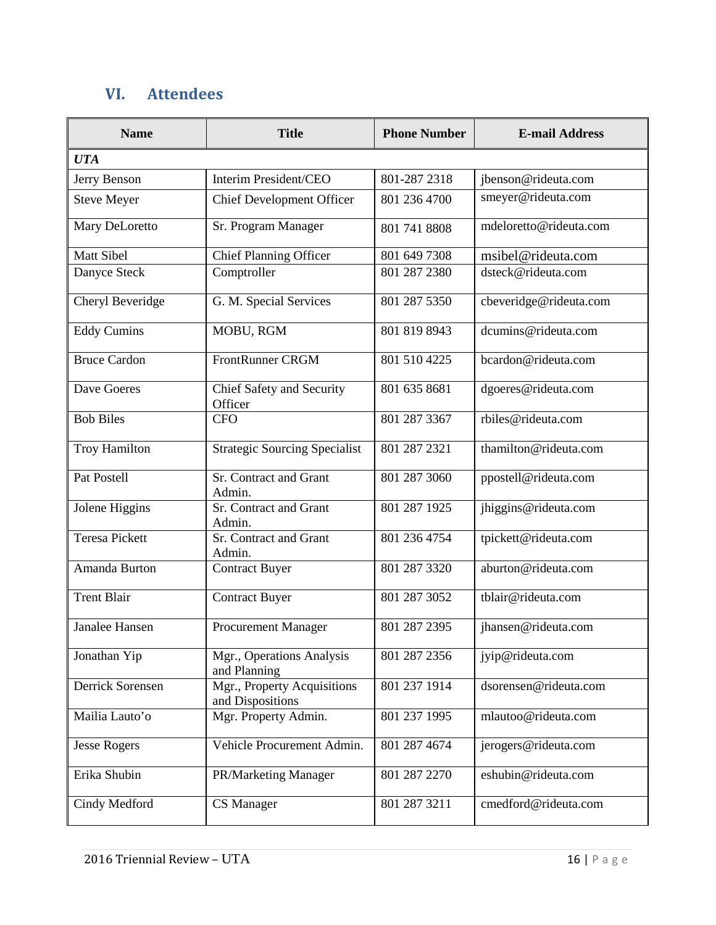# <span id="page-19-0"></span>**VI. Attendees**

| <b>Name</b>           | <b>Title</b>                                    | <b>Phone Number</b> | <b>E-mail Address</b>  |  |  |  |  |
|-----------------------|-------------------------------------------------|---------------------|------------------------|--|--|--|--|
| <b>UTA</b>            |                                                 |                     |                        |  |  |  |  |
| Jerry Benson          | Interim President/CEO                           | 801-287 2318        | jbenson@rideuta.com    |  |  |  |  |
| <b>Steve Meyer</b>    | <b>Chief Development Officer</b>                | 801 236 4700        | smeyer@rideuta.com     |  |  |  |  |
| Mary DeLoretto        | Sr. Program Manager                             | 801 741 8808        | mdeloretto@rideuta.com |  |  |  |  |
| <b>Matt Sibel</b>     | Chief Planning Officer                          | 801 649 7308        | msibel@rideuta.com     |  |  |  |  |
| Danyce Steck          | Comptroller                                     | 801 287 2380        | dsteck@rideuta.com     |  |  |  |  |
| Cheryl Beveridge      | G. M. Special Services                          | 801 287 5350        | cbeveridge@rideuta.com |  |  |  |  |
| <b>Eddy Cumins</b>    | MOBU, RGM                                       | 801 819 8943        | dcumins@rideuta.com    |  |  |  |  |
| <b>Bruce Cardon</b>   | <b>FrontRunner CRGM</b>                         | 801 510 4225        | bcardon@rideuta.com    |  |  |  |  |
| Dave Goeres           | Chief Safety and Security<br>Officer            | 801 635 8681        | dgoeres@rideuta.com    |  |  |  |  |
| <b>Bob Biles</b>      | <b>CFO</b>                                      | 801 287 3367        | rbiles@rideuta.com     |  |  |  |  |
| <b>Troy Hamilton</b>  | <b>Strategic Sourcing Specialist</b>            | 801 287 2321        | thamilton@rideuta.com  |  |  |  |  |
| Pat Postell           | Sr. Contract and Grant<br>Admin.                | 801 287 3060        | ppostell@rideuta.com   |  |  |  |  |
| Jolene Higgins        | Sr. Contract and Grant<br>Admin.                | 801 287 1925        | jhiggins@rideuta.com   |  |  |  |  |
| <b>Teresa Pickett</b> | Sr. Contract and Grant<br>Admin.                | 801 236 4754        | tpickett@rideuta.com   |  |  |  |  |
| Amanda Burton         | <b>Contract Buyer</b>                           | 801 287 3320        | aburton@rideuta.com    |  |  |  |  |
| <b>Trent Blair</b>    | <b>Contract Buyer</b>                           | 801 287 3052        | tblair@rideuta.com     |  |  |  |  |
| Janalee Hansen        | <b>Procurement Manager</b>                      | 801 287 2395        | jhansen@rideuta.com    |  |  |  |  |
| Jonathan Yip          | Mgr., Operations Analysis<br>and Planning       | 801 287 2356        | jyip@rideuta.com       |  |  |  |  |
| Derrick Sorensen      | Mgr., Property Acquisitions<br>and Dispositions | 801 237 1914        | dsorensen@rideuta.com  |  |  |  |  |
| Mailia Lauto'o        | Mgr. Property Admin.                            | 801 237 1995        | mlautoo@rideuta.com    |  |  |  |  |
| <b>Jesse Rogers</b>   | Vehicle Procurement Admin.                      | 801 287 4674        | jerogers@rideuta.com   |  |  |  |  |
| Erika Shubin          | PR/Marketing Manager                            | 801 287 2270        | eshubin@rideuta.com    |  |  |  |  |
| Cindy Medford         | CS Manager                                      | 801 287 3211        | cmedford@rideuta.com   |  |  |  |  |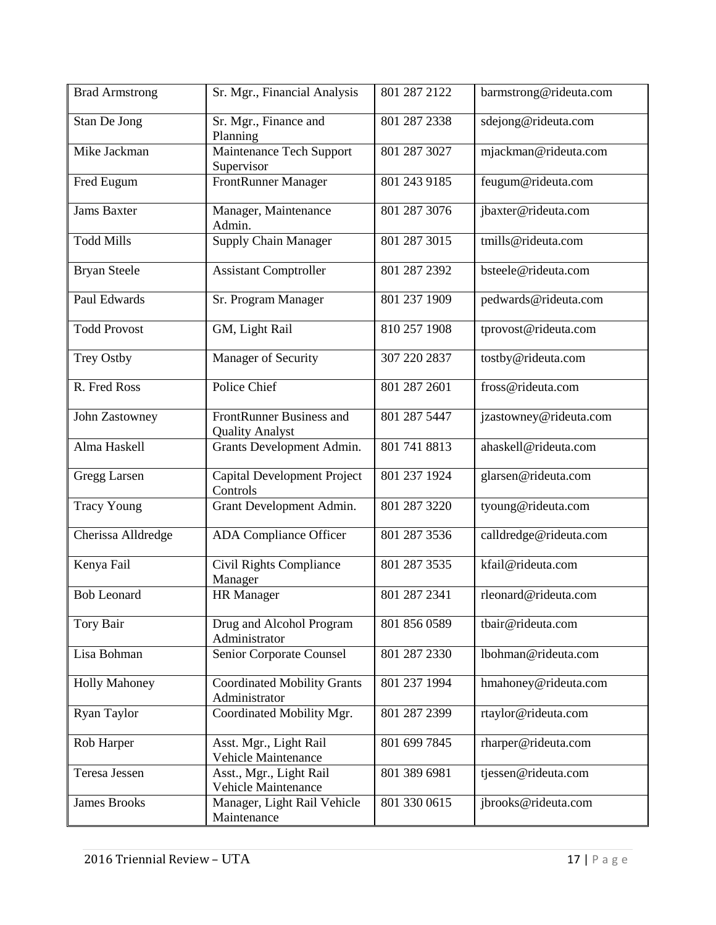| <b>Brad Armstrong</b> | Sr. Mgr., Financial Analysis                        | 801 287 2122 | barmstrong@rideuta.com |
|-----------------------|-----------------------------------------------------|--------------|------------------------|
| Stan De Jong          | Sr. Mgr., Finance and<br>Planning                   | 801 287 2338 | sdejong@rideuta.com    |
| Mike Jackman          | Maintenance Tech Support<br>Supervisor              | 801 287 3027 | mjackman@rideuta.com   |
| Fred Eugum            | <b>FrontRunner Manager</b>                          | 801 243 9185 | feugum@rideuta.com     |
| <b>Jams Baxter</b>    | Manager, Maintenance<br>Admin.                      | 801 287 3076 | jbaxter@rideuta.com    |
| <b>Todd Mills</b>     | <b>Supply Chain Manager</b>                         | 801 287 3015 | tmills@rideuta.com     |
| <b>Bryan Steele</b>   | <b>Assistant Comptroller</b>                        | 801 287 2392 | bsteele@rideuta.com    |
| Paul Edwards          | Sr. Program Manager                                 | 801 237 1909 | pedwards@rideuta.com   |
| <b>Todd Provost</b>   | GM, Light Rail                                      | 810 257 1908 | tprovost@rideuta.com   |
| <b>Trey Ostby</b>     | Manager of Security                                 | 307 220 2837 | tostby@rideuta.com     |
| R. Fred Ross          | Police Chief                                        | 801 287 2601 | fross@rideuta.com      |
| John Zastowney        | FrontRunner Business and<br><b>Quality Analyst</b>  | 801 287 5447 | jzastowney@rideuta.com |
| Alma Haskell          | Grants Development Admin.                           | 801 741 8813 | ahaskell@rideuta.com   |
| Gregg Larsen          | <b>Capital Development Project</b><br>Controls      | 801 237 1924 | glarsen@rideuta.com    |
| <b>Tracy Young</b>    | Grant Development Admin.                            | 801 287 3220 | tyoung@rideuta.com     |
| Cherissa Alldredge    | <b>ADA Compliance Officer</b>                       | 801 287 3536 | calldredge@rideuta.com |
| Kenya Fail            | <b>Civil Rights Compliance</b><br>Manager           | 801 287 3535 | kfail@rideuta.com      |
| <b>Bob Leonard</b>    | <b>HR</b> Manager                                   | 801 287 2341 | rleonard@rideuta.com   |
| Tory Bair             | Drug and Alcohol Program<br>Administrator           | 801 856 0589 | tbair@rideuta.com      |
| Lisa Bohman           | Senior Corporate Counsel                            | 801 287 2330 | lbohman@rideuta.com    |
| <b>Holly Mahoney</b>  | <b>Coordinated Mobility Grants</b><br>Administrator | 801 237 1994 | hmahoney@rideuta.com   |
| Ryan Taylor           | Coordinated Mobility Mgr.                           | 801 287 2399 | rtaylor@rideuta.com    |
| Rob Harper            | Asst. Mgr., Light Rail<br>Vehicle Maintenance       | 801 699 7845 | rharper@rideuta.com    |
| Teresa Jessen         | Asst., Mgr., Light Rail<br>Vehicle Maintenance      | 801 389 6981 | tjessen@rideuta.com    |
| <b>James Brooks</b>   | Manager, Light Rail Vehicle<br>Maintenance          | 801 330 0615 | jbrooks@rideuta.com    |